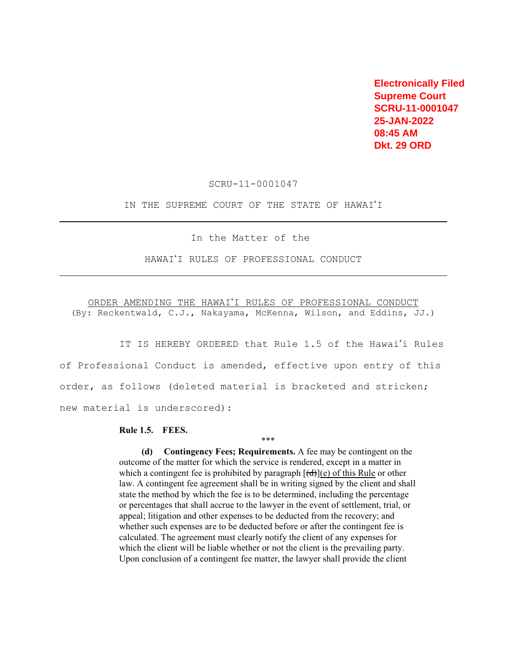**Electronically Filed Supreme Court SCRU-11-0001047 25-JAN-2022 08:45 AM Dkt. 29 ORD** 

SCRU-11-0001047

IN THE SUPREME COURT OF THE STATE OF HAWAI'I

In the Matter of the

HAWAI'I RULES OF PROFESSIONAL CONDUCT

ORDER AMENDING THE HAWAI'I RULES OF PROFESSIONAL CONDUCT (By: Reckentwald, C.J., Nakayama, McKenna, Wilson, and Eddins, JJ.)

IT IS HEREBY ORDERED that Rule 1.5 of the Hawai'i Rules of Professional Conduct is amended, effective upon entry of this order, as follows (deleted material is bracketed and stricken; new material is underscored):

## **Rule 1.5. FEES.**

**(d) Contingency Fees; Requirements.** A fee may be contingent on the outcome of the matter for which the service is rendered, except in a matter in which a contingent fee is prohibited by paragraph  $[(d)](e)$  of this Rule or other law. A contingent fee agreement shall be in writing signed by the client and shall state the method by which the fee is to be determined, including the percentage or percentages that shall accrue to the lawyer in the event of settlement, trial, or appeal; litigation and other expenses to be deducted from the recovery; and whether such expenses are to be deducted before or after the contingent fee is calculated. The agreement must clearly notify the client of any expenses for which the client will be liable whether or not the client is the prevailing party. Upon conclusion of a contingent fee matter, the lawyer shall provide the client

\*\*\*